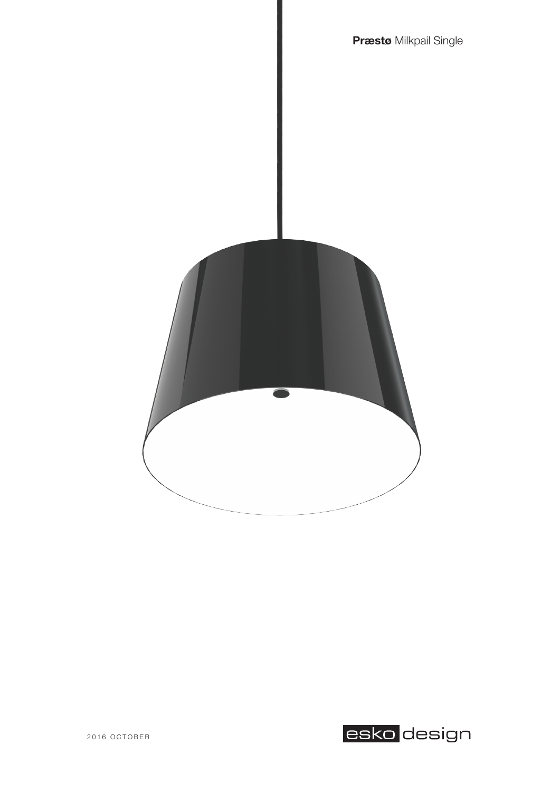